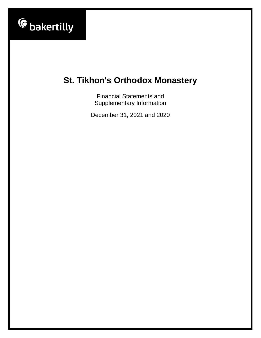

Financial Statements and Supplementary Information

December 31, 2021 and 2020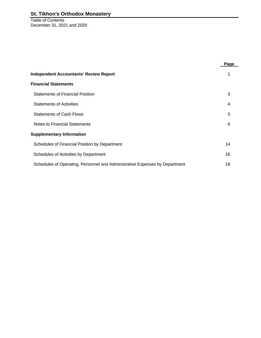Table of Contents December 31, 2021 and 2020

|                                                                             | Page           |
|-----------------------------------------------------------------------------|----------------|
| <b>Independent Accountants' Review Report</b>                               |                |
| <b>Financial Statements</b>                                                 |                |
| <b>Statements of Financial Position</b>                                     | 3              |
| <b>Statements of Activities</b>                                             | $\overline{4}$ |
| <b>Statements of Cash Flows</b>                                             | 5              |
| Notes to Financial Statements                                               | 6              |
| <b>Supplementary Information</b>                                            |                |
| Schedules of Financial Position by Department                               | 14             |
| Schedules of Activities by Department                                       | 16             |
| Schedules of Operating, Personnel and Administrative Expenses by Department | 18             |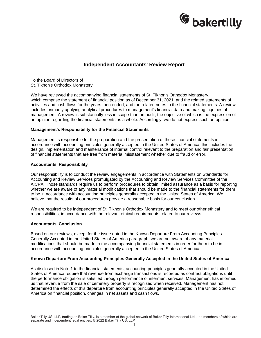

## **Independent Accountants' Review Report**

To the Board of Directors of St. Tikhon's Orthodox Monastery

We have reviewed the accompanying financial statements of St. Tikhon's Orthodox Monastery, which comprise the statement of financial position as of December 31, 2021, and the related statements of activities and cash flows for the years then ended, and the related notes to the financial statements. A review includes primarily applying analytical procedures to management's financial data and making inquiries of management. A review is substantially less in scope than an audit, the objective of which is the expression of an opinion regarding the financial statements as a whole. Accordingly, we do not express such an opinion.

#### **Management's Responsibility for the Financial Statements**

Management is responsible for the preparation and fair presentation of these financial statements in accordance with accounting principles generally accepted in the United States of America; this includes the design, implementation and maintenance of internal control relevant to the preparation and fair presentation of financial statements that are free from material misstatement whether due to fraud or error.

#### **Accountants' Responsibility**

Our responsibility is to conduct the review engagements in accordance with Statements on Standards for Accounting and Review Services promulgated by the Accounting and Review Services Committee of the AICPA. Those standards require us to perform procedures to obtain limited assurance as a basis for reporting whether we are aware of any material modifications that should be made to the financial statements for them to be in accordance with accounting principles generally accepted in the United States of America. We believe that the results of our procedures provide a reasonable basis for our conclusion.

We are required to be independent of St. Tikhon's Orthodox Monastery and to meet our other ethical responsibilities, in accordance with the relevant ethical requirements related to our reviews.

#### **Accountants' Conclusion**

Based on our reviews, except for the issue noted in the Known Departure From Accounting Principles Generally Accepted in the United States of America paragraph, we are not aware of any material modifications that should be made to the accompanying financial statements in order for them to be in accordance with accounting principles generally accepted in the United States of America.

#### **Known Departure From Accounting Principles Generally Accepted in the United States of America**

As disclosed in Note 1 to the financial statements, accounting principles generally accepted in the United States of America require that revenue from exchange transactions is recorded as contract obligations until the performance obligation is satisfied through performance of interment services. Management has informed us that revenue from the sale of cemetery property is recognized when received. Management has not determined the effects of this departure from accounting principles generally accepted in the United States of America on financial position, changes in net assets and cash flows.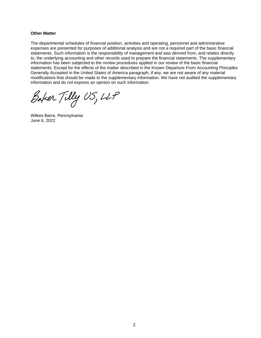#### **Other Matter**

The departmental schedules of financial position, activities and operating, personnel and administrative expenses are presented for purposes of additional analysis and are not a required part of the basic financial statements. Such information is the responsibility of management and was derived from, and relates directly to, the underlying accounting and other records used to prepare the financial statements. The supplementary information has been subjected to the review procedures applied in our review of the basic financial statements. Except for the effects of the matter described in the Known Departure From Accounting Principles Generally Accepted in the United States of America paragraph, if any, we are not aware of any material modifications that should be made to the supplementary information. We have not audited the supplementary information and do not express an opinion on such information.

Baker Tilly US, LLP

Wilkes-Barre, Pennsylvania June 6, 2022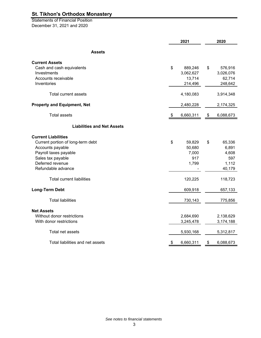Statements of Financial Position December 31, 2021 and 2020

|                                    | 2021 |           |    | 2020      |
|------------------------------------|------|-----------|----|-----------|
| <b>Assets</b>                      |      |           |    |           |
| <b>Current Assets</b>              |      |           |    |           |
| Cash and cash equivalents          | \$   | 889,246   | \$ | 576,916   |
| Investments                        |      | 3,062,627 |    | 3,026,076 |
| Accounts receivable                |      | 13,714    |    | 62,714    |
| Inventories                        |      | 214,496   |    | 248,642   |
| Total current assets               |      | 4,180,083 |    | 3,914,348 |
| <b>Property and Equipment, Net</b> |      | 2,480,228 |    | 2,174,325 |
| <b>Total assets</b>                | \$   | 6,660,311 | \$ | 6,088,673 |
| <b>Liabilities and Net Assets</b>  |      |           |    |           |
| <b>Current Liabilities</b>         |      |           |    |           |
| Current portion of long-term debt  | \$   | 59,829    | \$ | 65,336    |
| Accounts payable                   |      | 50,680    |    | 6,891     |
| Payroll taxes payable              |      | 7,000     |    | 4,608     |
| Sales tax payable                  |      | 917       |    | 597       |
| Deferred revenue                   |      | 1,799     |    | 1,112     |
| Refundable advance                 |      |           |    | 40,179    |
| <b>Total current liabilities</b>   |      | 120,225   |    | 118,723   |
| <b>Long-Term Debt</b>              |      | 609,918   |    | 657,133   |
| <b>Total liabilities</b>           |      | 730,143   |    | 775,856   |
| <b>Net Assets</b>                  |      |           |    |           |
| Without donor restrictions         |      | 2,684,690 |    | 2,138,629 |
| With donor restrictions            |      | 3,245,478 |    | 3,174,188 |
| Total net assets                   |      | 5,930,168 |    | 5,312,817 |
| Total liabilities and net assets   | \$   | 6,660,311 | \$ | 6,088,673 |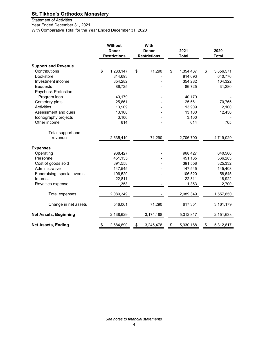Statement of Activities Year Ended December 31, 2021 With Comparative Total for the Year Ended December 31, 2020

|                              | <b>Without</b><br><b>Donor</b><br><b>Restrictions</b> | With<br><b>Donor</b><br><b>Restrictions</b> | 2021<br><b>Total</b> | 2020<br><b>Total</b> |
|------------------------------|-------------------------------------------------------|---------------------------------------------|----------------------|----------------------|
| <b>Support and Revenue</b>   |                                                       |                                             |                      |                      |
| Contributions                | \$<br>1,283,147                                       | \$<br>71,290                                | \$<br>1,354,437      | \$<br>3,856,571      |
| <b>Bookstore</b>             | 814,693                                               |                                             | 814,693              | 640,776              |
| Investment income            | 354,282                                               |                                             | 354,282              | 104,322              |
| <b>Bequests</b>              | 86,725                                                |                                             | 86,725               | 31,280               |
| Paycheck Protection          |                                                       |                                             |                      |                      |
| Program loan                 | 40,179                                                |                                             | 40,179               |                      |
| Cemetery plots               | 25,661                                                |                                             | 25,661               | 70,765               |
| <b>Activities</b>            | 13,909                                                |                                             | 13,909               | 2,100                |
| Assessment and dues          | 13,100                                                |                                             | 13,100               | 12,450               |
| Iconography projects         | 3,100                                                 |                                             | 3,100                |                      |
| Other income                 | 614                                                   |                                             | 614                  | 765                  |
| Total support and            |                                                       |                                             |                      |                      |
| revenue                      | 2,635,410                                             | 71,290                                      | 2,706,700            | 4,719,029            |
| <b>Expenses</b>              |                                                       |                                             |                      |                      |
| Operating                    | 968,427                                               |                                             | 968,427              | 640,560              |
| Personnel                    | 451,135                                               |                                             | 451,135              | 366,283              |
| Cost of goods sold           | 391,558                                               |                                             | 391,558              | 325,332              |
| Administrative               | 147,545                                               |                                             | 147,545              | 145,408              |
| Fundraising, special events  | 106,520                                               |                                             | 106,520              | 58,645               |
| Interest                     | 22,811                                                |                                             | 22,811               | 18,922               |
| Royalties expense            | 1,353                                                 |                                             | 1,353                | 2,700                |
| <b>Total expenses</b>        | 2,089,349                                             |                                             | 2,089,349            | 1,557,850            |
| Change in net assets         | 546,061                                               | 71,290                                      | 617,351              | 3,161,179            |
| <b>Net Assets, Beginning</b> | 2,138,629                                             | 3,174,188                                   | 5,312,817            | 2,151,638            |
| <b>Net Assets, Ending</b>    | \$<br>2,684,690                                       | \$<br>3,245,478                             | \$<br>5,930,168      | \$<br>5,312,817      |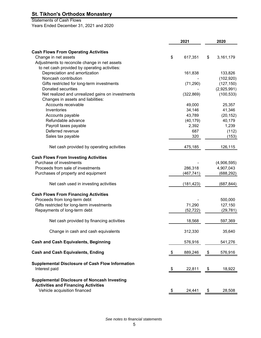Statements of Cash Flows

Years Ended December 31, 2021 and 2020

|                                                                          | 2021          | 2020            |
|--------------------------------------------------------------------------|---------------|-----------------|
|                                                                          |               |                 |
| <b>Cash Flows From Operating Activities</b>                              |               |                 |
| Change in net assets                                                     | \$<br>617,351 | \$<br>3,161,179 |
| Adjustments to reconcile change in net assets                            |               |                 |
| to net cash provided by operating activities:                            |               |                 |
| Depreciation and amortization                                            | 161,838       | 133,826         |
| Noncash contribution                                                     |               | (102, 920)      |
| Gifts restricted for long-term investments                               | (71, 290)     | (127, 150)      |
| Donated securities                                                       |               | (2,925,991)     |
| Net realized and unrealized gains on investments                         | (322, 869)    | (100, 533)      |
| Changes in assets and liabilities:                                       |               |                 |
| Accounts receivable                                                      | 49,000        | 25,357          |
| Inventories                                                              | 34,146        | 41,346          |
| Accounts payable                                                         | 43,789        | (20, 152)       |
| Refundable advance                                                       | (40, 179)     | 40,179          |
| Payroll taxes payable                                                    | 2,392         | 1,239           |
| Deferred revenue                                                         | 687           | (112)           |
| Sales tax payable                                                        | 320           | (153)           |
| Net cash provided by operating activities                                | 475,185       | 126,115         |
|                                                                          |               |                 |
| <b>Cash Flows From Investing Activities</b>                              |               |                 |
| Purchase of investments                                                  |               | (4,906,595)     |
| Proceeds from sale of investments                                        | 286,318       | 4,907,043       |
| Purchases of property and equipment                                      | (467, 741)    | (688, 292)      |
| Net cash used in investing activities                                    | (181, 423)    | (687, 844)      |
|                                                                          |               |                 |
| <b>Cash Flows From Financing Activities</b>                              |               |                 |
| Proceeds from long-term debt                                             |               | 500,000         |
| Gifts restricted for long-term investments                               | 71,290        | 127,150         |
| Repayments of long-term debt                                             | (52, 722)     | (29, 781)       |
| Net cash provided by financing activities                                | 18,568        | 597,369         |
|                                                                          |               |                 |
| Change in cash and cash equivalents                                      | 312,330       | 35,640          |
| <b>Cash and Cash Equivalents, Beginning</b>                              | 576,916       | 541,276         |
| <b>Cash and Cash Equivalents, Ending</b>                                 | \$<br>889,246 | \$<br>576,916   |
|                                                                          |               |                 |
| <b>Supplemental Disclosure of Cash Flow Information</b><br>Interest paid |               |                 |
|                                                                          | \$<br>22,811  | \$<br>18,922    |
| <b>Supplemental Disclosure of Noncash Investing</b>                      |               |                 |
| <b>Activities and Financing Activities</b>                               |               |                 |
| Vehicle acquisition financed                                             | \$<br>24,441  | \$<br>28,508    |
|                                                                          |               |                 |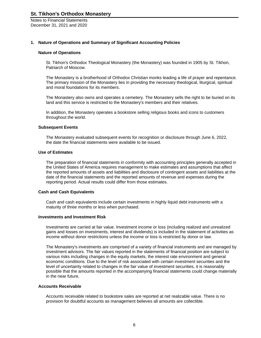Notes to Financial Statements December 31, 2021 and 2020

#### **1. Nature of Operations and Summary of Significant Accounting Policies**

#### **Nature of Operations**

St. Tikhon's Orthodox Theological Monastery (the Monastery) was founded in 1905 by St. Tikhon, Patriarch of Moscow.

The Monastery is a brotherhood of Orthodox Christian monks leading a life of prayer and repentance. The primary mission of the Monastery lies in providing the necessary theological, liturgical, spiritual and moral foundations for its members.

The Monastery also owns and operates a cemetery. The Monastery sells the right to be buried on its land and this service is restricted to the Monastery's members and their relatives.

In addition, the Monastery operates a bookstore selling religious books and icons to customers throughout the world.

#### **Subsequent Events**

The Monastery evaluated subsequent events for recognition or disclosure through June 6, 2022, the date the financial statements were available to be issued.

#### **Use of Estimates**

The preparation of financial statements in conformity with accounting principles generally accepted in the United States of America requires management to make estimates and assumptions that affect the reported amounts of assets and liabilities and disclosure of contingent assets and liabilities at the date of the financial statements and the reported amounts of revenue and expenses during the reporting period. Actual results could differ from those estimates.

#### **Cash and Cash Equivalents**

Cash and cash equivalents include certain investments in highly liquid debt instruments with a maturity of three months or less when purchased.

#### **Investments and Investment Risk**

Investments are carried at fair value. Investment income or loss (including realized and unrealized gains and losses on investments, interest and dividends) is included in the statement of activities as income without donor restrictions unless the income or loss is restricted by donor or law.

The Monastery's investments are comprised of a variety of financial instruments and are managed by investment advisors. The fair values reported in the statements of financial position are subject to various risks including changes in the equity markets, the interest rate environment and general economic conditions. Due to the level of risk associated with certain investment securities and the level of uncertainty related to changes in the fair value of investment securities, it is reasonably possible that the amounts reported in the accompanying financial statements could change materially in the near future.

#### **Accounts Receivable**

Accounts receivable related to bookstore sales are reported at net realizable value. There is no provision for doubtful accounts as management believes all amounts are collectible.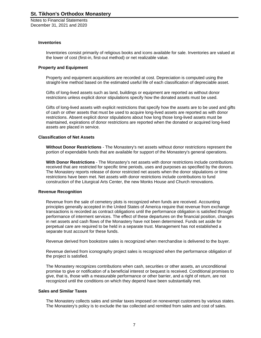Notes to Financial Statements December 31, 2021 and 2020

#### **Inventories**

Inventories consist primarily of religious books and icons available for sale. Inventories are valued at the lower of cost (first-in, first-out method) or net realizable value.

#### **Property and Equipment**

Property and equipment acquisitions are recorded at cost. Depreciation is computed using the straight-line method based on the estimated useful life of each classification of depreciable asset.

Gifts of long-lived assets such as land, buildings or equipment are reported as without donor restrictions unless explicit donor stipulations specify how the donated assets must be used.

Gifts of long-lived assets with explicit restrictions that specify how the assets are to be used and gifts of cash or other assets that must be used to acquire long-lived assets are reported as with donor restrictions. Absent explicit donor stipulations about how long those long-lived assets must be maintained, expirations of donor restrictions are reported when the donated or acquired long-lived assets are placed in service.

#### **Classification of Net Assets**

**Without Donor Restrictions** *-* The Monastery's net assets without donor restrictions represent the portion of expendable funds that are available for support of the Monastery's general operations.

**With Donor Restrictions** - The Monastery's net assets with donor restrictions include contributions received that are restricted for specific time periods, uses and purposes as specified by the donors. The Monastery reports release of donor restricted net assets when the donor stipulations or time restrictions have been met. Net assets with donor restrictions include contributions to fund construction of the Liturgical Arts Center, the new Monks House and Church renovations.

#### **Revenue Recognition**

Revenue from the sale of cemetery plots is recognized when funds are received. Accounting principles generally accepted in the United States of America require that revenue from exchange transactions is recorded as contract obligations until the performance obligation is satisfied through performance of interment services. The effect of these departures on the financial position, changes in net assets and cash flows of the Monastery have not been determined. Funds set aside for perpetual care are required to be held in a separate trust. Management has not established a separate trust account for these funds.

Revenue derived from bookstore sales is recognized when merchandise is delivered to the buyer.

Revenue derived from iconography project sales is recognized when the performance obligation of the project is satisfied.

The Monastery recognizes contributions when cash, securities or other assets, an unconditional promise to give or notification of a beneficial interest or bequest is received. Conditional promises to give, that is, those with a measurable performance or other barrier, and a right of return, are not recognized until the conditions on which they depend have been substantially met.

#### **Sales and Similar Taxes**

The Monastery collects sales and similar taxes imposed on nonexempt customers by various states. The Monastery's policy is to exclude the tax collected and remitted from sales and cost of sales.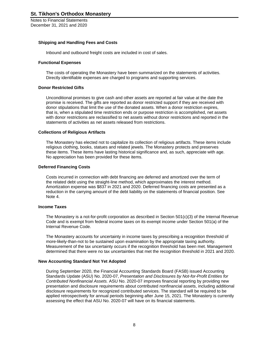Notes to Financial Statements December 31, 2021 and 2020

#### **Shipping and Handling Fees and Costs**

Inbound and outbound freight costs are included in cost of sales.

#### **Functional Expenses**

The costs of operating the Monastery have been summarized on the statements of activities. Directly identifiable expenses are charged to programs and supporting services.

#### **Donor Restricted Gifts**

Unconditional promises to give cash and other assets are reported at fair value at the date the promise is received. The gifts are reported as donor restricted support if they are received with donor stipulations that limit the use of the donated assets. When a donor restriction expires, that is, when a stipulated time restriction ends or purpose restriction is accomplished, net assets with donor restrictions are reclassified to net assets without donor restrictions and reported in the statements of activities as net assets released from restrictions.

#### **Collections of Religious Artifacts**

The Monastery has elected not to capitalize its collection of religious artifacts. These items include religious clothing, books, statues and related jewels. The Monastery protects and preserves these items. These items have lasting historical significance and, as such, appreciate with age. No appreciation has been provided for these items.

#### **Deferred Financing Costs**

Costs incurred in connection with debt financing are deferred and amortized over the term of the related debt using the straight-line method, which approximates the interest method. Amortization expense was \$837 in 2021 and 2020. Deferred financing costs are presented as a reduction in the carrying amount of the debt liability on the statements of financial position. See Note 4.

#### **Income Taxes**

The Monastery is a not-for-profit corporation as described in Section 501(c)(3) of the Internal Revenue Code and is exempt from federal income taxes on its exempt income under Section 501(a) of the Internal Revenue Code.

The Monastery accounts for uncertainty in income taxes by prescribing a recognition threshold of more-likely-than-not to be sustained upon examination by the appropriate taxing authority. Measurement of the tax uncertainty occurs if the recognition threshold has been met. Management determined that there were no tax uncertainties that met the recognition threshold in 2021 and 2020.

#### **New Accounting Standard Not Yet Adopted**

During September 2020, the Financial Accounting Standards Board (FASB) issued Accounting Standards Update (ASU) No. 2020-07, *Presentation and Disclosures by Not-for-Profit Entities for Contributed Nonfinancial Assets.* ASU No. 2020-07 improves financial reporting by providing new presentation and disclosure requirements about contributed nonfinancial assets, including additional disclosure requirements for recognized contributed services. The standard will be required to be applied retrospectively for annual periods beginning after June 15, 2021. The Monastery is currently assessing the effect that ASU No. 2020-07 will have on its financial statements.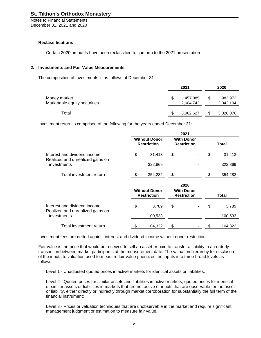Notes to Financial Statements December 31, 2021 and 2020

#### **Reclassifications**

Certain 2020 amounts have been reclassified to conform to the 2021 presentation.

#### **2. Investments and Fair Value Measurements**

The composition of investments is as follows at December 31:

|                                              | 2021 |                      |  | 2020                 |  |  |
|----------------------------------------------|------|----------------------|--|----------------------|--|--|
| Money market<br>Marketable equity securities |      | 457,885<br>2,604,742 |  | 983,972<br>2,042,104 |  |  |
| Total                                        |      | 3,062,627            |  | 3,026,076            |  |  |

Investment return is comprised of the following for the years ended December 31:

|                                                                  |                                            | 2021                                    |    |         |
|------------------------------------------------------------------|--------------------------------------------|-----------------------------------------|----|---------|
|                                                                  | <b>Without Donor</b><br><b>Restriction</b> | <b>With Donor</b><br><b>Restriction</b> |    | Total   |
| Interest and dividend income<br>Realized and unrealized gains on | \$<br>31,413                               | \$                                      | \$ | 31,413  |
| investments                                                      | 322,869                                    |                                         |    | 322,869 |
| Total investment return                                          | 354,282                                    | S                                       |    | 354,282 |
|                                                                  |                                            | 2020                                    |    |         |
|                                                                  | <b>Without Donor</b><br><b>Restriction</b> | <b>With Donor</b><br><b>Restriction</b> |    | Total   |
| Interest and dividend income<br>Realized and unrealized gains on | \$<br>3,789                                | \$                                      | \$ | 3,789   |
| investments                                                      | 100,533                                    |                                         |    | 100,533 |
| Total investment return                                          | 104,322                                    |                                         |    | 104,322 |

Investment fees are netted against interest and dividend income without donor restriction.

Fair value is the price that would be received to sell an asset or paid to transfer a liability in an orderly transaction between market participants at the measurement date. The valuation hierarchy for disclosure of the inputs to valuation used to measure fair value prioritizes the inputs into three broad levels as follows:

Level 1 - Unadjusted quoted prices in active markets for identical assets or liabilities;

Level 2 - Quoted prices for similar assets and liabilities in active markets; quoted prices for identical or similar assets or liabilities in markets that are not active or inputs that are observable for the asset or liability, either directly or indirectly through market corroboration for substantially the full term of the financial instrument;

Level 3 - Prices or valuation techniques that are unobservable in the market and require significant management judgment or estimation to measure fair value.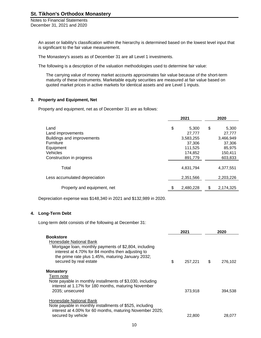Notes to Financial Statements December 31, 2021 and 2020

> An asset or liability's classification within the hierarchy is determined based on the lowest level input that is significant to the fair value measurement.

The Monastery's assets as of December 31 are all Level 1 investments.

The following is a description of the valuation methodologies used to determine fair value:

The carrying value of money market accounts approximates fair value because of the short-term maturity of these instruments. Marketable equity securities are measured at fair value based on quoted market prices in active markets for identical assets and are Level 1 inputs.

#### **3. Property and Equipment, Net**

Property and equipment, net as of December 31 are as follows:

|                               | 2021 |           | 2020 |           |
|-------------------------------|------|-----------|------|-----------|
| Land                          | \$   | 5,300     |      | 5,300     |
|                               |      |           | \$   |           |
| Land improvements             |      | 27.777    |      | 27,777    |
| Buildings and improvements    |      | 3,583,255 |      | 3,466,949 |
| <b>Furniture</b>              |      | 37,306    |      | 37,306    |
| Equipment                     |      | 111,525   |      | 85,975    |
| Vehicles                      |      | 174,852   |      | 150,411   |
| Construction in progress      |      | 891,779   |      | 603,833   |
| Total                         |      | 4,831,794 |      | 4,377,551 |
| Less accumulated depreciation |      | 2,351,566 |      | 2,203,226 |
| Property and equipment, net   |      | 2,480,228 | S    | 2,174,325 |

Depreciation expense was \$148,340 in 2021 and \$132,989 in 2020.

#### **4. Long-Term Debt**

Long-term debt consists of the following at December 31:

|                                                                                                                                                                                                                                          | 2021          | 2020          |
|------------------------------------------------------------------------------------------------------------------------------------------------------------------------------------------------------------------------------------------|---------------|---------------|
| <b>Bookstore</b><br>Honesdale National Bank<br>Mortgage loan, monthly payments of \$2,804, including<br>interest at 4.70% for 84 months then adjusting to<br>the prime rate plus 1.45%, maturing January 2032;<br>secured by real estate | \$<br>257,221 | \$<br>276.102 |
| <b>Monastery</b>                                                                                                                                                                                                                         |               |               |
| Term note                                                                                                                                                                                                                                |               |               |
| Note payable in monthly installments of \$3,030, including<br>interest at 1.17% for 180 months, maturing November                                                                                                                        |               |               |
| 2035; unsecured                                                                                                                                                                                                                          | 373,918       | 394,538       |
| Honesdale National Bank                                                                                                                                                                                                                  |               |               |
| Note payable in monthly installments of \$525, including                                                                                                                                                                                 |               |               |
| interest at 4.00% for 60 months, maturing November 2025;<br>secured by vehicle                                                                                                                                                           | 22,800        | 28,077        |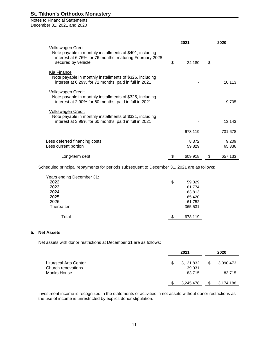#### Notes to Financial Statements December 31, 2021 and 2020

|                                                                                                                                                                 | 2021            |    | 2020            |
|-----------------------------------------------------------------------------------------------------------------------------------------------------------------|-----------------|----|-----------------|
| Volkswagen Credit<br>Note payable in monthly installments of \$401, including<br>interest at 6.76% for 76 months, maturing February 2028,<br>secured by vehicle | \$<br>24,180    | \$ |                 |
| Kia Finance<br>Note payable in monthly installments of \$326, including<br>interest at 6.29% for 72 months, paid in full in 2021                                |                 |    | 10,113          |
| Volkswagen Credit<br>Note payable in monthly installments of \$325, including<br>interest at 2.90% for 60 months, paid in full in 2021                          |                 |    | 9,705           |
| Volkswagen Credit<br>Note payable in monthly installments of \$321, including<br>interest at 3.99% for 60 months, paid in full in 2021                          |                 |    | 13,143          |
|                                                                                                                                                                 | 678,119         |    | 731,678         |
| Less deferred financing costs<br>Less current portion                                                                                                           | 8,372<br>59,829 |    | 9,209<br>65,336 |
| Long-term debt                                                                                                                                                  | 609,918         | S  | 657,133         |

Scheduled principal repayments for periods subsequent to December 31, 2021 are as follows:

| Years ending December 31: |    |         |
|---------------------------|----|---------|
| 2022                      | \$ | 59,829  |
| 2023                      |    | 61,774  |
| 2024                      |    | 63,813  |
| 2025                      |    | 65,420  |
| 2026                      |    | 61,752  |
| Thereafter                |    | 365,531 |
| Total                     | S  | 678,119 |

#### **5. Net Assets**

Net assets with donor restrictions at December 31 are as follows:

|                                                                    | 2021                                | 2020 |                     |  |
|--------------------------------------------------------------------|-------------------------------------|------|---------------------|--|
| <b>Liturgical Arts Center</b><br>Church renovations<br>Monks House | \$<br>3,121,832<br>39,931<br>83,715 | \$   | 3,090,473<br>83,715 |  |
|                                                                    | 3,245,478                           | S    | 3,174,188           |  |

Investment income is recognized in the statements of activities in net assets without donor restrictions as the use of income is unrestricted by explicit donor stipulation.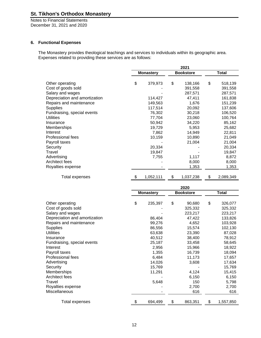Notes to Financial Statements December 31, 2021 and 2020

### **6. Functional Expenses**

The Monastery provides theological teachings and services to individuals within its geographic area. Expenses related to providing these services are as follows:

|                               |                  | 2021      |    |                  |    |              |
|-------------------------------|------------------|-----------|----|------------------|----|--------------|
|                               | <b>Monastery</b> |           |    | <b>Bookstore</b> |    | <b>Total</b> |
| Other operating               | \$               | 379,973   | \$ | 138,166          | \$ | 518,139      |
| Cost of goods sold            |                  |           |    | 391,558          |    | 391,558      |
| Salary and wages              |                  |           |    | 287,571          |    | 287,571      |
| Depreciation and amortization |                  | 114,427   |    | 47,411           |    | 161,838      |
| Repairs and maintenance       |                  | 149,563   |    | 1,676            |    | 151,239      |
| <b>Supplies</b>               |                  | 117,514   |    | 20,092           |    | 137,606      |
| Fundraising, special events   |                  | 76,302    |    | 30,218           |    | 106,520      |
| <b>Utilities</b>              |                  | 77,704    |    | 23,060           |    | 100,764      |
| Insurance                     |                  | 50,942    |    | 34,220           |    | 85,162       |
| Memberships                   |                  | 19,729    |    | 5,953            |    | 25,682       |
| Interest                      |                  | 7,862     |    | 14,949           |    | 22,811       |
| Professional fees             |                  | 10,159    |    | 10,890           |    | 21,049       |
| Payroll taxes                 |                  |           |    | 21,004           |    | 21,004       |
| Security                      |                  | 20,334    |    |                  |    | 20,334       |
| Travel                        |                  | 19,847    |    |                  |    | 19,847       |
| Advertising                   |                  | 7,755     |    | 1,117            |    | 8,872        |
| Architect fees                |                  |           |    | 8,000            |    | 8,000        |
| Royalties expense             |                  |           |    | 1,353            |    | 1,353        |
| <b>Total expenses</b>         | \$               | 1,052,111 | \$ | 1,037,238        | \$ | 2,089,349    |

|                               | 2020 |                  |    |                  |    |              |  |
|-------------------------------|------|------------------|----|------------------|----|--------------|--|
|                               |      | <b>Monastery</b> |    | <b>Bookstore</b> |    | <b>Total</b> |  |
| Other operating               | \$   | 235,397          | \$ | 90,680           | \$ | 326,077      |  |
| Cost of goods sold            |      |                  |    | 325,332          |    | 325,332      |  |
| Salary and wages              |      |                  |    | 223,217          |    | 223,217      |  |
| Depreciation and amortization |      | 86,404           |    | 47,422           |    | 133,826      |  |
| Repairs and maintenance       |      | 99,276           |    | 4,652            |    | 103,928      |  |
| <b>Supplies</b>               |      | 86,556           |    | 15,574           |    | 102,130      |  |
| <b>Utilities</b>              |      | 63,638           |    | 23,390           |    | 87,028       |  |
| Insurance                     |      | 40,512           |    | 38,400           |    | 78,912       |  |
| Fundraising, special events   |      | 25,187           |    | 33,458           |    | 58,645       |  |
| Interest                      |      | 2,956            |    | 15,966           |    | 18,922       |  |
| Payroll taxes                 |      | 1,355            |    | 16,739           |    | 18,094       |  |
| Professional fees             |      | 6,484            |    | 11,173           |    | 17,657       |  |
| Advertising                   |      | 14,026           |    | 3,608            |    | 17,634       |  |
| Security                      |      | 15,769           |    |                  |    | 15,769       |  |
| Memberships                   |      | 11,291           |    | 4,124            |    | 15,415       |  |
| Architect fees                |      |                  |    | 6,150            |    | 6,150        |  |
| Travel                        |      | 5,648            |    | 150              |    | 5,798        |  |
| Royalties expense             |      |                  |    | 2,700            |    | 2,700        |  |
| Miscellaneous                 |      |                  |    | 616              |    | 616          |  |
| Total expenses                | \$   | 694,499          | \$ | 863,351          | \$ | 1,557,850    |  |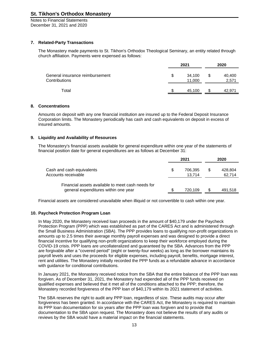Notes to Financial Statements December 31, 2021 and 2020

#### **7. Related-Party Transactions**

The Monastery made payments to St. Tikhon's Orthodox Theological Seminary, an entity related through church affiliation. Payments were expensed as follows:

|                                                  | 2021 |                  |   | 2020            |  |  |
|--------------------------------------------------|------|------------------|---|-----------------|--|--|
| General insurance reimbursement<br>Contributions |      | 34,100<br>11,000 | S | 40,400<br>2,571 |  |  |
| Total                                            |      | 45,100           |   | 42.971          |  |  |

#### **8. Concentrations**

Amounts on deposit with any one financial institution are insured up to the Federal Deposit Insurance Corporation limits. The Monastery periodically has cash and cash equivalents on deposit in excess of insured amounts.

#### **9. Liquidity and Availability of Resources**

The Monastery's financial assets available for general expenditure within one year of the statements of financial position date for general expenditures are as follows at December 31:

|                                                                                           | 2021 |                   |   | 2020              |  |
|-------------------------------------------------------------------------------------------|------|-------------------|---|-------------------|--|
| Cash and cash equivalents<br>Accounts receivable                                          | \$.  | 706.395<br>13.714 | S | 428.804<br>62,714 |  |
| Financial assets available to meet cash needs for<br>general expenditures within one year |      | 720.109           |   | 491.518           |  |

Financial assets are considered unavailable when illiquid or not convertible to cash within one year.

#### **10. Paycheck Protection Program Loan**

In May 2020, the Monastery received loan proceeds in the amount of \$40,179 under the Paycheck Protection Program (PPP) which was established as part of the CARES Act and is administered through the Small Business Administration (SBA). The PPP provides loans to qualifying non-profit organizations in amounts up to 2.5 times their average monthly payroll expenses and was designed to provide a direct financial incentive for qualifying non-profit organizations to keep their workforce employed during the COVID-19 crisis. PPP loans are uncollateralized and guaranteed by the SBA. Advances from the PPP are forgivable after a "covered period" (eight or twenty-four weeks) as long as the borrower maintains its payroll levels and uses the proceeds for eligible expenses, including payroll, benefits, mortgage interest, rent and utilities. The Monastery initially recorded the PPP funds as a refundable advance in accordance with guidance for conditional contributions.

In January 2021, the Monastery received notice from the SBA that the entire balance of the PPP loan was forgiven. As of December 31, 2021, the Monastery had expended all of the PPP funds received on qualified expenses and believed that it met all of the conditions attached to the PPP; therefore, the Monastery recorded forgiveness of the PPP loan of \$40,179 within its 2021 statement of activities.

The SBA reserves the right to audit any PPP loan, regardless of size. These audits may occur after forgiveness has been granted. In accordance with the CARES Act, the Monastery is required to maintain its PPP loan documentation for six years after the PPP loan was forgiven and to provide that documentation to the SBA upon request. The Monastery does not believe the results of any audits or reviews by the SBA would have a material impact on the financial statements.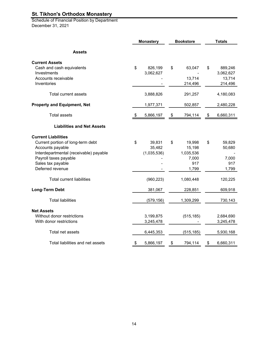Schedule of Financial Position by Department December 31, 2021

|                                        | <b>Monastery</b> |             | <b>Bookstore</b> |            | <b>Totals</b>   |
|----------------------------------------|------------------|-------------|------------------|------------|-----------------|
| <b>Assets</b>                          |                  |             |                  |            |                 |
| <b>Current Assets</b>                  |                  |             |                  |            |                 |
| Cash and cash equivalents              | \$               | 826,199     | \$               | 63,047     | \$<br>889,246   |
| Investments                            |                  | 3,062,627   |                  |            | 3,062,627       |
| Accounts receivable                    |                  |             |                  | 13,714     | 13,714          |
| Inventories                            |                  |             |                  | 214,496    | 214,496         |
| Total current assets                   |                  | 3,888,826   |                  | 291,257    | 4,180,083       |
| <b>Property and Equipment, Net</b>     |                  | 1,977,371   |                  | 502,857    | 2,480,228       |
| <b>Total assets</b>                    | \$               | 5,866,197   | \$               | 794,114    | \$<br>6,660,311 |
| <b>Liabilities and Net Assets</b>      |                  |             |                  |            |                 |
| <b>Current Liabilities</b>             |                  |             |                  |            |                 |
| Current portion of long-term debt      | \$               | 39,831      | \$               | 19,998     | \$<br>59,829    |
| Accounts payable                       |                  | 35,482      |                  | 15,198     | 50,680          |
| Interdepartmental (receivable) payable |                  | (1,035,536) |                  | 1,035,536  |                 |
| Payroll taxes payable                  |                  |             |                  | 7,000      | 7,000           |
| Sales tax payable                      |                  |             |                  | 917        | 917             |
| Deferred revenue                       |                  |             |                  | 1,799      | 1,799           |
| <b>Total current liabilities</b>       |                  | (960, 223)  |                  | 1,080,448  | 120,225         |
| <b>Long-Term Debt</b>                  |                  | 381,067     |                  | 228,851    | 609,918         |
| <b>Total liabilities</b>               |                  | (579, 156)  |                  | 1,309,299  | 730,143         |
| <b>Net Assets</b>                      |                  |             |                  |            |                 |
| Without donor restrictions             |                  | 3,199,875   |                  | (515, 185) | 2,684,690       |
| With donor restrictions                |                  | 3,245,478   |                  |            | 3,245,478       |
|                                        |                  |             |                  |            |                 |
| Total net assets                       |                  | 6,445,353   |                  | (515, 185) | 5,930,168       |
| Total liabilities and net assets       | \$               | 5,866,197   | \$               | 794,114    | \$<br>6,660,311 |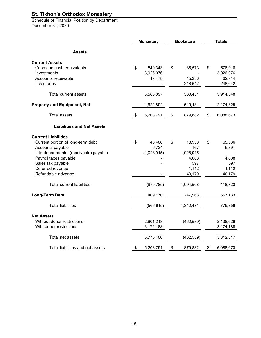**Schedule of Financial Position by Department** December 31, 2020

|                                        | <b>Monastery</b> |             | <b>Bookstore</b> |            | <b>Totals</b> |           |
|----------------------------------------|------------------|-------------|------------------|------------|---------------|-----------|
| <b>Assets</b>                          |                  |             |                  |            |               |           |
| <b>Current Assets</b>                  |                  |             |                  |            |               |           |
| Cash and cash equivalents              | \$               | 540,343     | \$               | 36,573     | \$            | 576,916   |
| Investments                            |                  | 3,026,076   |                  |            |               | 3,026,076 |
| Accounts receivable                    |                  | 17,478      |                  | 45,236     |               | 62,714    |
| Inventories                            |                  |             |                  | 248,642    |               | 248,642   |
| Total current assets                   |                  | 3,583,897   |                  | 330,451    |               | 3,914,348 |
| <b>Property and Equipment, Net</b>     |                  | 1,624,894   |                  | 549,431    |               | 2,174,325 |
| <b>Total assets</b>                    | \$               | 5,208,791   | \$               | 879,882    | \$            | 6,088,673 |
| <b>Liabilities and Net Assets</b>      |                  |             |                  |            |               |           |
| <b>Current Liabilities</b>             |                  |             |                  |            |               |           |
| Current portion of long-term debt      | \$               | 46,406      | \$               | 18,930     | \$            | 65,336    |
| Accounts payable                       |                  | 6,724       |                  | 167        |               | 6,891     |
| Interdepartmental (receivable) payable |                  | (1,028,915) |                  | 1,028,915  |               |           |
| Payroll taxes payable                  |                  |             |                  | 4,608      |               | 4,608     |
| Sales tax payable                      |                  |             |                  | 597        |               | 597       |
| Deferred revenue                       |                  |             |                  | 1,112      |               | 1,112     |
| Refundable advance                     |                  |             |                  | 40,179     |               | 40,179    |
| <b>Total current liabilities</b>       |                  | (975, 785)  |                  | 1,094,508  |               | 118,723   |
| <b>Long-Term Debt</b>                  |                  | 409,170     |                  | 247,963    |               | 657,133   |
| <b>Total liabilities</b>               |                  | (566, 615)  |                  | 1,342,471  |               | 775,856   |
| <b>Net Assets</b>                      |                  |             |                  |            |               |           |
| Without donor restrictions             |                  | 2,601,218   |                  | (462, 589) |               | 2,138,629 |
| With donor restrictions                |                  | 3,174,188   |                  |            |               | 3,174,188 |
| Total net assets                       |                  | 5,775,406   |                  | (462, 589) |               | 5,312,817 |
| Total liabilities and net assets       | \$               | 5,208,791   | \$               | 879,882    | \$            | 6,088,673 |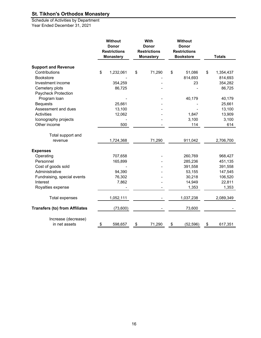Schedule of Activities by Department Year Ended December 31, 2021

|                                       | <b>Without</b><br><b>Donor</b><br><b>Restrictions</b><br><b>Monastery</b> | With<br>Donor<br><b>Restrictions</b><br><b>Monastery</b> | <b>Without</b><br>Donor<br><b>Restrictions</b><br><b>Bookstore</b> |    | <b>Totals</b> |  |
|---------------------------------------|---------------------------------------------------------------------------|----------------------------------------------------------|--------------------------------------------------------------------|----|---------------|--|
| <b>Support and Revenue</b>            |                                                                           |                                                          |                                                                    |    |               |  |
| Contributions                         | \$<br>1,232,061                                                           | \$<br>71,290                                             | \$<br>51,086                                                       | \$ | 1,354,437     |  |
| <b>Bookstore</b>                      |                                                                           |                                                          | 814,693                                                            |    | 814,693       |  |
| Investment income                     | 354,259                                                                   |                                                          | 23                                                                 |    | 354,282       |  |
| Cemetery plots                        | 86,725                                                                    |                                                          |                                                                    |    | 86,725        |  |
| Paycheck Protection                   |                                                                           |                                                          |                                                                    |    |               |  |
| Program loan                          |                                                                           |                                                          | 40,179                                                             |    | 40,179        |  |
| <b>Bequests</b>                       | 25,661                                                                    |                                                          |                                                                    |    | 25,661        |  |
| Assessment and dues                   | 13,100                                                                    |                                                          |                                                                    |    | 13,100        |  |
| <b>Activities</b>                     | 12,062                                                                    |                                                          | 1,847                                                              |    | 13,909        |  |
| Iconography projects                  |                                                                           |                                                          | 3,100                                                              |    | 3,100         |  |
| Other income                          | 500                                                                       |                                                          | 114                                                                |    | 614           |  |
| Total support and                     |                                                                           |                                                          |                                                                    |    |               |  |
| revenue                               | 1,724,368                                                                 | 71,290                                                   | 911,042                                                            |    | 2,706,700     |  |
| <b>Expenses</b>                       |                                                                           |                                                          |                                                                    |    |               |  |
| Operating                             | 707,658                                                                   |                                                          | 260,769                                                            |    | 968,427       |  |
| Personnel                             | 165,899                                                                   |                                                          | 285,236                                                            |    | 451,135       |  |
| Cost of goods sold                    |                                                                           |                                                          | 391,558                                                            |    | 391,558       |  |
| Administrative                        | 94,390                                                                    |                                                          | 53,155                                                             |    | 147,545       |  |
| Fundraising, special events           | 76,302                                                                    |                                                          | 30,218                                                             |    | 106,520       |  |
| Interest                              | 7,862                                                                     |                                                          | 14,949                                                             |    | 22,811        |  |
| Royalties expense                     |                                                                           |                                                          | 1,353                                                              |    | 1,353         |  |
| <b>Total expenses</b>                 | 1,052,111                                                                 |                                                          | 1,037,238                                                          |    | 2,089,349     |  |
| <b>Transfers (to) from Affiliates</b> | (73,600)                                                                  |                                                          | 73,600                                                             |    |               |  |
| Increase (decrease)                   |                                                                           |                                                          |                                                                    |    |               |  |
| in net assets                         | \$<br>598,657                                                             | \$<br>71,290                                             | \$<br>(52, 596)                                                    | \$ | 617,351       |  |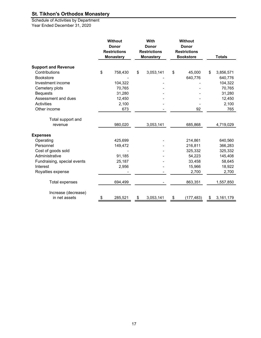Schedule of Activities by Department Year Ended December 31, 2020

|                             | <b>Without</b><br><b>Donor</b><br><b>Restrictions</b><br><b>Monastery</b> | With<br><b>Donor</b><br><b>Restrictions</b><br><b>Monastery</b> | Without<br><b>Donor</b><br><b>Restrictions</b><br><b>Bookstore</b> | <b>Totals</b>   |
|-----------------------------|---------------------------------------------------------------------------|-----------------------------------------------------------------|--------------------------------------------------------------------|-----------------|
| <b>Support and Revenue</b>  |                                                                           |                                                                 |                                                                    |                 |
| Contributions               | \$<br>758,430                                                             | \$<br>3,053,141                                                 | \$<br>45,000                                                       | \$<br>3,856,571 |
| <b>Bookstore</b>            |                                                                           |                                                                 | 640,776                                                            | 640,776         |
| Investment income           | 104,322                                                                   |                                                                 |                                                                    | 104,322         |
| Cemetery plots              | 70,765                                                                    |                                                                 |                                                                    | 70,765          |
| <b>Bequests</b>             | 31,280                                                                    |                                                                 |                                                                    | 31,280          |
| Assessment and dues         | 12,450                                                                    |                                                                 |                                                                    | 12,450          |
| Activities                  | 2,100                                                                     |                                                                 |                                                                    | 2,100           |
| Other income                | 673                                                                       |                                                                 | 92                                                                 | 765             |
| Total support and           |                                                                           |                                                                 |                                                                    |                 |
| revenue                     | 980,020                                                                   | 3,053,141                                                       | 685,868                                                            | 4,719,029       |
| <b>Expenses</b>             |                                                                           |                                                                 |                                                                    |                 |
| Operating                   | 425,699                                                                   |                                                                 | 214,861                                                            | 640,560         |
| Personnel                   | 149,472                                                                   |                                                                 | 216,811                                                            | 366,283         |
| Cost of goods sold          |                                                                           |                                                                 | 325,332                                                            | 325,332         |
| Administrative              | 91,185                                                                    |                                                                 | 54,223                                                             | 145,408         |
| Fundraising, special events | 25,187                                                                    |                                                                 | 33,458                                                             | 58,645          |
| Interest                    | 2,956                                                                     |                                                                 | 15,966                                                             | 18,922          |
| Royalties expense           |                                                                           |                                                                 | 2,700                                                              | 2,700           |
| <b>Total expenses</b>       | 694,499                                                                   |                                                                 | 863,351                                                            | 1,557,850       |
| Increase (decrease)         |                                                                           |                                                                 |                                                                    |                 |
| in net assets               | \$<br>285,521                                                             | \$<br>3,053,141                                                 | \$<br>(177, 483)                                                   | \$<br>3,161,179 |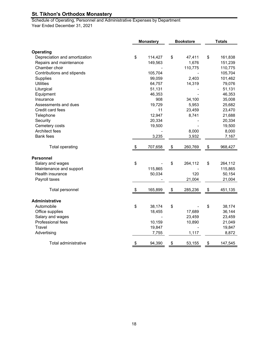Schedule of Operating, Personnel and Administrative Expenses by Department Year Ended December 31, 2021

|                                          | <b>Monastery</b> |         | <b>Bookstore</b> |         | <b>Totals</b> |         |
|------------------------------------------|------------------|---------|------------------|---------|---------------|---------|
| Operating                                |                  |         |                  |         |               |         |
| Depreciation and amortization            | \$               | 114,427 | \$               | 47,411  | \$            | 161,838 |
|                                          |                  |         |                  | 1,676   |               | 151,239 |
| Repairs and maintenance<br>Chamber choir |                  | 149,563 |                  | 110,775 |               | 110,775 |
| Contributions and stipends               |                  | 105,704 |                  |         |               | 105,704 |
|                                          |                  | 99,059  |                  | 2,403   |               |         |
| <b>Supplies</b><br><b>Utilities</b>      |                  |         |                  |         |               | 101,462 |
|                                          |                  | 64,757  |                  | 14,319  |               | 79,076  |
| Liturgical                               |                  | 51,131  |                  |         |               | 51,131  |
| Equipment                                |                  | 46,353  |                  |         |               | 46,353  |
| Insurance                                |                  | 908     |                  | 34,100  |               | 35,008  |
| Assessments and dues                     |                  | 19,729  |                  | 5,953   |               | 25,682  |
| Credit card fees                         |                  | 11      |                  | 23,459  |               | 23,470  |
| Telephone                                |                  | 12,947  |                  | 8,741   |               | 21,688  |
| Security                                 |                  | 20,334  |                  |         |               | 20,334  |
| Cemetery costs                           |                  | 19,500  |                  |         |               | 19,500  |
| Architect fees                           |                  |         |                  | 8,000   |               | 8,000   |
| <b>Bank</b> fees                         |                  | 3,235   |                  | 3,932   |               | 7,167   |
| <b>Total operating</b>                   | \$               | 707,658 | \$               | 260,769 | \$            | 968,427 |
| <b>Personnel</b>                         |                  |         |                  |         |               |         |
| Salary and wages                         | \$               |         | \$               | 264,112 | \$            | 264,112 |
| Maintenance and support                  |                  | 115,865 |                  |         |               | 115,865 |
| Health insurance                         |                  | 50,034  |                  | 120     |               | 50,154  |
| Payroll taxes                            |                  |         |                  | 21,004  |               | 21,004  |
| Total personnel                          | \$               | 165,899 | \$               | 285,236 | \$            | 451,135 |
| <b>Administrative</b>                    |                  |         |                  |         |               |         |
| Automobile                               | \$               | 38,174  | \$               |         | \$            | 38,174  |
| Office supplies                          |                  | 18,455  |                  | 17,689  |               | 36,144  |
| Salary and wages                         |                  |         |                  | 23,459  |               | 23,459  |
| Professional fees                        |                  | 10,159  |                  | 10,890  |               |         |
| Travel                                   |                  |         |                  |         |               | 21,049  |
|                                          |                  | 19,847  |                  |         |               | 19,847  |
| Advertising                              |                  | 7,755   |                  | 1,117   |               | 8,872   |
| Total administrative                     | \$               | 94,390  | \$               | 53,155  | \$            | 147,545 |